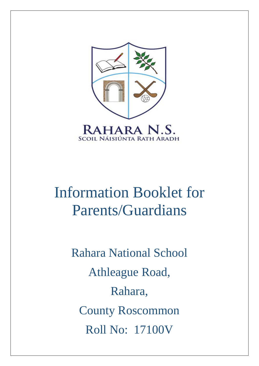

# Information Booklet for Parents/Guardians

Rahara National School Athleague Road, Rahara, County Roscommon Roll No: 17100V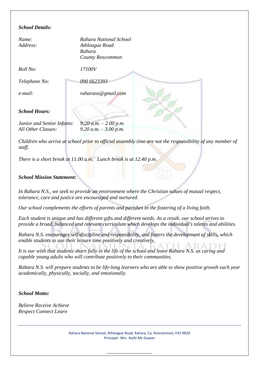## *School Details:*

| Name:<br>Address:          | Rahara National School<br>Athleague Road<br>Rahara<br><b>County Roscommon</b> |  |
|----------------------------|-------------------------------------------------------------------------------|--|
| Roll No:                   | 17100V                                                                        |  |
| Telephone No:              | 090 6623393                                                                   |  |
| e-mail:                    | raharans@gmail.com                                                            |  |
| <b>School Hours:</b>       |                                                                               |  |
| Junior and Senior Infants: | 9:20 a.m. $-$ 2.00 p.m.                                                       |  |
| All Other Classes:         | 9.20 a.m. $-3.00$ p.m.                                                        |  |
|                            |                                                                               |  |

*Children who arrive at school prior to official assembly time are not the responsibility of any member of staff.*

*There is a short break at 11.00 a.m. Lunch break is at 12.40 p.m.*

#### *School Mission Statement:*

*In Rahara N.S., we seek to provide an environment where the Christian values of mutual respect, tolerance, care and justice are encouraged and nurtured.* 

*Our school complements the efforts of parents and parishes in the fostering of a living faith.* 

*Each student is unique and has different gifts and different needs. As a result, our school strives to provide a broad, balanced and relevant curriculum which develops the individual's talents and abilities.* 

*Rahara N.S. encourages self-discipline and responsibility, and fosters the development of skills, which enable students to use their leisure time positively and creatively.* 

*It is our wish that students share fully in the life of the school and leave Rahara N.S. as caring and capable young adults who will contribute positively to their communities.* 

*Rahara N.S. will prepare students to be life-long learners who are able to show positive growth each year academically, physically, socially, and emotionally.*

#### *School Motto:*

*Believe Receive Achieve Respect Connect Learn*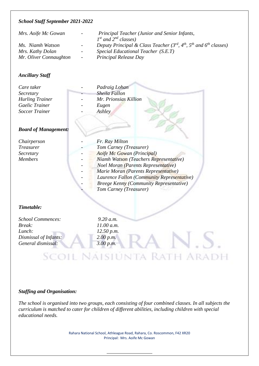#### *School Staff September 2021-2022*

| Mrs. Aoife Mc Gowan<br>$\sim 100$ |                 | Principal Teacher (Junior and Senior Infants,                                    |  |
|-----------------------------------|-----------------|----------------------------------------------------------------------------------|--|
|                                   |                 | $1^{st}$ and $2^{nd}$ classes)                                                   |  |
| Ms. Niamh Watson                  | $\sim 100$      | Deputy Principal & Class Teacher $(3^{rd}, 4^{th}, 5^{th}$ and $6^{th}$ classes) |  |
| Mrs. Kathy Dolan                  | $\sim 100$      | <i>Special Educational Teacher (S.E.T)</i>                                       |  |
| Mr. Oliver Connaughton            | $\sim 10^{-10}$ | <b>Principal Release Day</b>                                                     |  |

#### *Ancillary Staff*

| Care taker             | Padraig Lohan         |  |
|------------------------|-----------------------|--|
| Secretary              | Sheila Fallon         |  |
| <b>Hurling Trainer</b> | Mr. Prionsias Killion |  |
| Gaelic Trainer         | Eugen                 |  |
| <b>Soccer Trainer</b>  | Ashley                |  |
|                        |                       |  |
|                        |                       |  |

#### *Board of Management:*

| Chairperson      | Fr. Ray Milton |                                                              |  |  |
|------------------|----------------|--------------------------------------------------------------|--|--|
| <i>Treasurer</i> |                | Tom Carney (Treasurer)                                       |  |  |
| Secretary        |                | Aoife Mc Gowan (Principal)                                   |  |  |
| <b>Members</b>   |                | Niamh Watson (Teachers Representative)                       |  |  |
|                  |                | <b>Noel Moran (Parents Representative)</b>                   |  |  |
|                  |                | Marie Moran (Parents Representative)                         |  |  |
|                  |                | $\mathbf{r}$ $\mathbf{r}$ $\alpha$ $\mathbf{r}$ $\mathbf{r}$ |  |  |

*Laurence Fallon (Community Representative)* 

**HARADI** 

- *Breege Kenny (Community Representative)*
- *- Tom Carney (Treasurer)*

#### *Timetable:*

*School Commences: 9.20 a.m. Break: 11.00 a.m. Lunch: 12.50 p.m. Dismissal of Infants: 2.00 p.m. General dismissal: 3.00 p.m.*

Scoil Naisiunta Rat

## *Staffing and Organisation:*

*The school is organised into two groups, each consisting of four combined classes. In all subjects the curriculum is matched to cater for children of different abilities, including children with special educational needs.*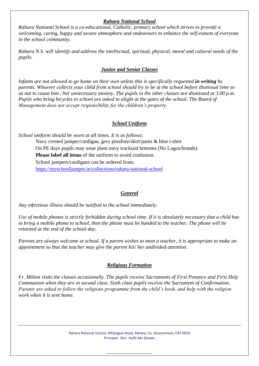## *Rahara National School*

*Rahara National School is a co-educational, Catholic, primary school which strives to provide a welcoming, caring, happy and secure atmosphere and endeavours to enhance the self-esteem of everyone in the school community.*

*Rahara N.S. will identify and address the intellectual, spiritual, physical, moral and cultural needs of the pupils.* 

## *Junior and Senior Classes*

*Infants are not allowed to go home on their own unless this is specifically requested in writing by parents. Whoever collects your child from school should try to be at the school before dismissal time so as not to cause him / her unnecessary anxiety. The pupils in the other classes are dismissed at 3.00 p.m. Pupils who bring bicycles to school are asked to alight at the gates of the school. The Board of Management does not accept responsibility for the children's property.*

## *School Uniform*

*School uniform should be worn at all times. It is as follows:*

Navy crested jumper/cardigan, grey pinafore/skirt/pants & blue t-shirt On PE days pupils may wear plain navy tracksuit bottoms (No Logos/brands) **Please label all items** of the uniform to avoid confusion. School jumpers/cardigans can be ordered from: <https://myschooljumper.ie/collections/rahara-national-school>

## *General*

*Any infectious illness should be notified to the school immediately.* 

*Use of mobile phones is strictly forbidden during school time. If it is absolutely necessary that a child has to bring a mobile phone to school, then the phone must be handed to the teacher. The phone will be returned at the end of the school day.*

*Parents are always welcome at school. If a parent wishes to meet a teacher, it is appropriate to make an appointment so that the teacher may give the parent his/ her undivided attention.*

## *Religious Formation*

*Fr. Milton visits the classes occasionally. The pupils receive Sacraments of First Penance and First Holy Communion when they are in second class. Sixth class pupils receive the Sacrament of Confirmation. Parents are asked to follow the religious programme from the child's book, and help with the religion work when it is sent home.*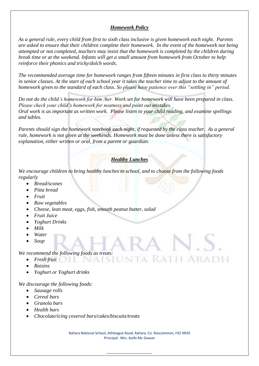## *Homework Policy*

*As a general rule, every child from first to sixth class inclusive is given homework each night. Parents are asked to ensure that their children complete their homework. In the event of the homework not being attempted or not completed, teachers may insist that the homework is completed by the children during break time or at the weekend. Infants will get a small amount from homework from October to help reinforce their phonics and tricky/dolch words.*

*The recommended average time for homework ranges from fifteen minutes in first class to thirty minutes in senior classes. At the start of each school year it takes the teacher time to adjust to the amount of homework given to the standard of each class. So please have patience over this "settling in" period.* 

*Do not do the child's homework for him /her. Work set for homework will have been prepared in class. Please check your child's homework for neatness and point out mistakes. Oral work is as important as written work. Please listen to your child reading, and examine spellings and tables.* 

*Parents should sign the homework notebook each night, if requested by the class teacher. As a general rule, homework is not given at the weekends. Homework must be done unless there is satisfactory explanation, either written or oral, from a parent or guardian.*

## *Healthy Lunches*

*We encourage children to bring healthy lunches to school, and to choose from the following foods regularly*

SILIN

- *Bread/scones*
- *Pitta bread*
- *Fruit*
- *Raw vegetables*
- *Cheese, lean meat, eggs, fish, smooth peanut butter, salad*
- *Fruit Juice*
- *Yoghurt Drinks*
- *Milk*
- *Water*
- *Soup*

#### *We recommend the following foods as treats:*

- *Fresh fruit*
- *Raisins*
- *Yoghurt or Yoghurt drinks*

*We discourage the following foods:*

- *Sausage rolls*
- *Cereal bars*
- *Granola bars*
- *Health bars*
- *Chocolate/icing covered bars/cakes/biscuits/treats*

Rahara National School, Athleague Road, Rahara, Co. Roscommon, F42 XR20 Principal: Mrs. Aoife Mc Gowan

RATH ARADH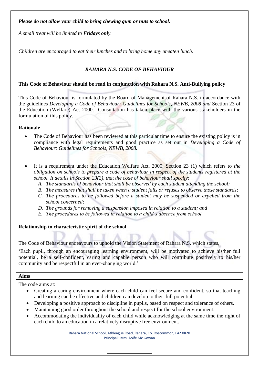## *Please do not allow your child to bring chewing gum or nuts to school.*

*A small treat will be limited to Fridays only.*

*Children are encouraged to eat their lunches and to bring home any uneaten lunch.* 

## *RAHARA N.S. CODE OF BEHAVIOUR*

#### **This Code of Behaviour should be read in conjunction with Rahara N.S. Anti-Bullying policy**

This Code of Behaviour is formulated by the Board of Management of Rahara N.S. in accordance with the guidelines *Developing a Code of Behaviour: Guidelines for Schools, NEWB, 2008 and* Section 23 of the Education (Welfare) Act 2000. Consultation has taken place with the various stakeholders in the formulation of this policy.

#### **Rationale**

- The Code of Behaviour has been reviewed at this particular time to ensure the existing policy is in compliance with legal requirements and good practice as set out in *Developing a Code of Behaviour: Guidelines for Schools, NEWB, 2008.*
- It is a requirement under the Education Welfare Act, 2000, Section 23 (1) which refers to *the obligation on schools to prepare a code of behaviour in respect of the students registered at the school. It details in Section 23(2), that the code of behaviour shall specify:*
	- *A. The standards of behaviour that shall be observed by each student attending the school;*
	- *B. The measures that shall be taken when a student fails or refuses to observe those standards;*
	- *C. The procedures to be followed before a student may be suspended or expelled from the school concerned;*
	- *D. The grounds for removing a suspension imposed in relation to a student; and*
	- *E. The procedures to be followed in relation to a child's absence from school.*

#### **Relationship to characteristic spirit of the school**

The Code of Behaviour endeavours to uphold the Vision Statement of Rahara N.S. which states,

'Each pupil, through an encouraging learning environment, will be motivated to achieve his/her full potential, be a self-confident, caring and capable person who will contribute positively to his/her community and be respectful in an ever-changing world.'

#### **Aims**

The code aims at:

- Creating a caring environment where each child can feel secure and confident, so that teaching and learning can be effective and children can develop to their full potential.
- Developing a positive approach to discipline in pupils, based on respect and tolerance of others.
- Maintaining good order throughout the school and respect for the school environment.
- Accommodating the individuality of each child while acknowledging at the same time the right of each child to an education in a relatively disruptive free environment.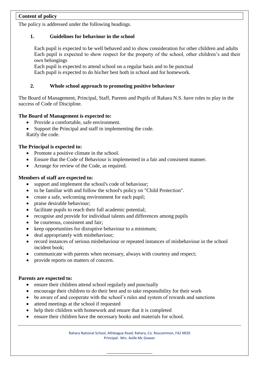## **Content of policy**

The policy is addressed under the following headings.

#### **1. Guidelines for behaviour in the school**

Each pupil is expected to be well behaved and to show consideration for other children and adults Each pupil is expected to show respect for the property of the school, other children's and their own belongings

Each pupil is expected to attend school on a regular basis and to be punctual

Each pupil is expected to do his/her best both in school and for homework.

## **2. Whole school approach to promoting positive behaviour**

The Board of Management, Principal, Staff, Parents and Pupils of Rahara N.S. have roles to play in the success of Code of Discipline.

#### **The Board of Management is expected to:**

- Provide a comfortable, safe environment.
- Support the Principal and staff in implementing the code. Ratify the code.

#### **The Principal is expected to:**

- Promote a positive climate in the school.
- Ensure that the Code of Behaviour is implemented in a fair and consistent manner.
- Arrange for review of the Code, as required.

#### **Members of staff are expected to:**

- support and implement the school's code of behaviour;
- to be familiar with and follow the school's policy on "Child Protection".
- create a safe, welcoming environment for each pupil;
- praise desirable behaviour;
- facilitate pupils to reach their full academic potential;
- recognise and provide for individual talents and differences among pupils
- be courteous, consistent and fair;
- keep opportunities for disruptive behaviour to a minimum;
- deal appropriately with misbehaviour;
- record instances of serious misbehaviour or repeated instances of misbehaviour in the school incident book;
- communicate with parents when necessary, always with courtesy and respect;
- provide reports on matters of concern.

#### **Parents are expected to:**

- ensure their children attend school regularly and punctually
- encourage their children to do their best and to take responsibility for their work
- be aware of and cooperate with the school's rules and system of rewards and sanctions
- attend meetings at the school if requested
- help their children with homework and ensure that it is completed
- ensure their children have the necessary books and materials for school.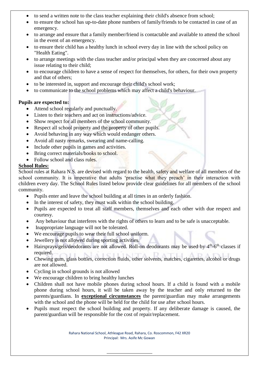- to send a written note to the class teacher explaining their child's absence from school;
- to ensure the school has up-to-date phone numbers of family/friends to be contacted in case of an emergency.
- to arrange and ensure that a family member/friend is contactable and available to attend the school in the event of an emergency.
- to ensure their child has a healthy lunch in school every day in line with the school policy on "Health Eating".
- to arrange meetings with the class teacher and/or principal when they are concerned about any issue relating to their child;
- to encourage children to have a sense of respect for themselves, for others, for their own property and that of others;
- to be interested in, support and encourage their child's school work;
- to communicate to the school problems which may affect a child's behaviour.

## **Pupils are expected to:**

- Attend school regularly and punctually.
- Listen to their teachers and act on instructions/advice.
- Show respect for all members of the school community.
- Respect all school property and the property of other pupils.
- Avoid behaving in any way which would endanger others.
- Avoid all nasty remarks, swearing and name-calling.
- Include other pupils in games and activities.
- Bring correct materials/books to school.
- Follow school and class rules.

## **School Rules:**

School rules at Rahara N.S. are devised with regard to the health, safety and welfare of all members of the school community. It is imperative that adults 'practise what they preach' in their interaction with children every day. The School Rules listed below provide clear guidelines for all members of the school community.

- Pupils enter and leave the school building at all times in an orderly fashion.
- In the interest of safety, they must walk within the school building.
- Pupils are expected to treat all staff members, themselves and each other with due respect and courtesy.
- Any behaviour that interferes with the rights of others to learn and to be safe is unacceptable.
- Inappropriate language will not be tolerated.
- We encourage pupils to wear their full school uniform.
- Jewellery is not allowed during sporting activities.
- Hairsprays/gels/deodorants are not allowed. Roll-on deodorants may be used by 4<sup>th</sup>-6<sup>th</sup> classes if required.
- Chewing gum, glass bottles, correction fluids, other solvents, matches, cigarettes, alcohol or drugs are not allowed.
- Cycling in school grounds is not allowed
- We encourage children to bring healthy lunches
- Children shall not have mobile phones during school hours. If a child is found with a mobile phone during school hours, it will be taken away by the teacher and only returned to the parents/guardians. In **exceptional circumstances** the parent/guardian may make arrangements with the school and the phone will be held for the child for use after school hours.
- Pupils must respect the school building and property. If any deliberate damage is caused, the parent/guardian will be responsible for the cost of repair/replacement.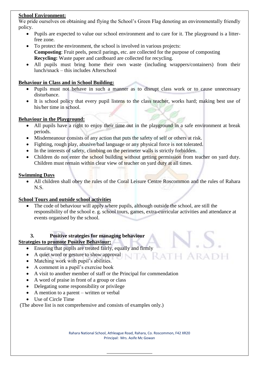## **School Environment:**

We pride ourselves on obtaining and flying the School's Green Flag denoting an environmentally friendly policy.

- Pupils are expected to value our school environment and to care for it. The playground is a litterfree zone.
- To protect the environment, the school is involved in various projects: **Composting**: Fruit peels, pencil parings, etc. are collected for the purpose of composting **Recycling:** Waste paper and cardboard are collected for recycling.
- All pupils must bring home their own waste (including wrappers/containers) from their lunch/snack – this includes Afterschool

## **Behaviour in Class and in School Building:**

- Pupils must not behave in such a manner as to disrupt class work or to cause unnecessary disturbance.
- It is school policy that every pupil listens to the class teacher, works hard; making best use of his/her time in school.

## **Behaviour in the Playground:**

- All pupils have a right to enjoy their time out in the playground in a safe environment at break periods.
- Misdemeanour consists of any action that puts the safety of self or others at risk.
- Fighting, rough play, abusive/bad language or any physical force is not tolerated.
- In the interests of safety, climbing on the perimeter walls is strictly forbidden.
- Children do not enter the school building without getting permission from teacher on yard duty. Children must remain within clear view of teacher on yard duty at all times.

## **Swimming Days**

• All children shall obey the rules of the Coral Leisure Centre Roscommon and the rules of Rahara N.S.

## **School Tours and outside school activities**

 The code of behaviour will apply where pupils, although outside the school, are still the responsibility of the school e. g. school tours, games, extra-curricular activities and attendance at events organised by the school.

## **3. Positive strategies for managing behaviour**

## **Strategies to promote Positive Behaviour:**

- Ensuring that pupils are treated fairly, equally and firmly
- A quiet word or gesture to show approval
- Matching work with pupil's abilities.
- A comment in a pupil's exercise book
- A visit to another member of staff or the Principal for commendation
- A word of praise in front of a group or class
- Delegating some responsibility or privilege
- A mention to a parent written or verbal
- Use of Circle Time

(The above list is not comprehensive and consists of examples only.)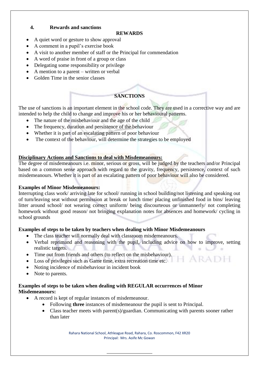## **4. Rewards and sanctions**

#### **REWARDS**

- A quiet word or gesture to show approval
- A comment in a pupil's exercise book
- A visit to another member of staff or the Principal for commendation
- A word of praise in front of a group or class
- Delegating some responsibility or privilege
- A mention to a parent written or verbal
- Golden Time in the senior classes

## **SANCTIONS**

The use of sanctions is an important element in the school code. They are used in a corrective way and are intended to help the child to change and improve his or her behavioural patterns.

- The nature of the misbehaviour and the age of the child
- The frequency, duration and persistence of the behaviour
- Whether it is part of an escalating pattern of poor behaviour
- The context of the behaviour, will determine the strategies to be employed

## **Disciplinary Actions and Sanctions to deal with Misdemeanours:**

The degree of misdemeanours i.e. minor, serious or gross, will be judged by the teachers and/or Principal based on a common sense approach with regard to the gravity, frequency, persistence, context of such misdemeanours. Whether it is part of an escalating pattern of poor behaviour will also be considered.

## **Examples of Minor Misdemeanours:**

Interrupting class work/ arriving late for school/ running in school building/not listening and speaking out of turn/leaving seat without permission at break or lunch time/ placing unfinished food in bins/ leaving litter around school/ not wearing correct uniform/ being discourteous or unmannerly/ not completing homework without good reason/ not bringing explanation notes for absences and homework/ cycling in school grounds

## **Examples of steps to be taken by teachers when dealing with Minor Misdemeanours**

- The class teacher will normally deal with classroom misdemeanours.
- Verbal reprimand and reasoning with the pupil, including advice on how to improve, setting realistic targets.
- Time out from friends and others (to reflect on the misbehaviour).
- Loss of privileges such as Game time, extra recreation time etc.
- Noting incidence of misbehaviour in incident book
- Note to parents.

## **Examples of steps to be taken when dealing with REGULAR occurrences of Minor Misdemeanours:**

- A record is kept of regular instances of misdemeanour.
	- Following **three** instances of misdemeanour the pupil is sent to Principal.
	- Class teacher meets with parent(s)/guardian. Communicating with parents sooner rather than later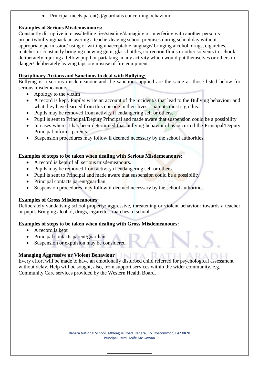Principal meets parent(s)/guardians concerning behaviour.

## **Examples of Serious Misdemeanours:**

Constantly disruptive in class/ telling lies/stealing/damaging or interfering with another person's property/bullying/back answering a teacher/leaving school premises during school day without appropriate permission/ using or writing unacceptable language/ bringing alcohol, drugs, cigarettes, matches or constantly bringing chewing gum, glass bottles, correction fluids or other solvents to school/ deliberately injuring a fellow pupil or partaking in any activity which would put themselves or others in danger/ deliberately leaving taps on/ misuse of fire equipment.

## **Disciplinary Actions and Sanctions to deal with Bullying:**

Bullying is a serious misdemeanour and the sanctions applied are the same as those listed below for serious misdemeanours.

- Apology to the victim
- A record is kept. Pupil/s write an account of the incident/s that lead to the Bullying behaviour and what they have learned from this episode in their lives – parents must sign this.
- Pupils may be removed from activity if endangering self or others.
- Pupil is sent to Principal/Deputy Principal and made aware that suspension could be a possibility
- In cases where it has been determined that bullying behaviour has occurred the Principal/Deputy Principal informs parents.
- Suspension procedures may follow if deemed necessary by the school authorities.

## **Examples of steps to be taken when dealing with Serious Misdemeanours:**

- A record is kept of all serious misdemeanours.
- Pupils may be removed from activity if endangering self or others
- Pupil is sent to Principal and made aware that suspension could be a possibility
- Principal contacts parent/guardian
- Suspension procedures may follow if deemed necessary by the school authorities.

## **Examples of Gross Misdemeanours:**

Deliberately vandalising school property/ aggressive, threatening or violent behaviour towards a teacher or pupil. Bringing alcohol, drugs, cigarettes, matches to school.

## **Examples of steps to be taken when dealing with Gross Misdemeanours:**

- A record is kept
- Principal contacts parent/guardian
- Suspension or expulsion may be considered

## **Managing Aggressive or Violent Behaviour**

Every effort will be made to have an emotionally disturbed child referred for psychological assessment without delay. Help will be sought, also, from support services within the wider community, e.g. Community Care services provided by the Western Health Board.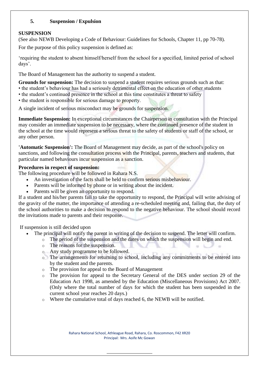## **5. Suspension / Expulsion**

## **SUSPENSION**

(See also NEWB Developing a Code of Behaviour: Guidelines for Schools, Chapter 11, pp 70-78).

For the purpose of this policy suspension is defined as:

'requiring the student to absent himself/herself from the school for a specified, limited period of school days'.

The Board of Management has the authority to suspend a student.

**Grounds for suspension:** The decision to suspend a student requires serious grounds such as that:

- the student's behaviour has had a seriously detrimental effect on the education of other students
- the student's continued presence in the school at this time constitutes a threat to safety
- the student is responsible for serious damage to property.

A single incident of serious misconduct may be grounds for suspension.

**Immediate Suspension:** In exceptional circumstances the Chairperson in consultation with the Principal may consider an immediate suspension to be necessary, where the continued presence of the student in the school at the time would represent a serious threat to the safety of students or staff of the school, or any other person.

**'Automatic Suspension':** The Board of Management may decide, as part of the school's policy on sanctions, and following the consultation process with the Principal, parents, teachers and students, that particular named behaviours incur suspension as a sanction.

## **Procedures in respect of suspension:**

The following procedure will be followed in Rahara N.S.

- An investigation of the facts shall be held to confirm serious misbehaviour.
- Parents will be informed by phone or in writing about the incident.
- Parents will be given an opportunity to respond.

If a student and his/her parents fail to take the opportunity to respond, the Principal will write advising of the gravity of the matter, the importance of attending a re-scheduled meeting and, failing that, the duty of the school authorities to make a decision to respond to the negative behaviour. The school should record the invitations made to parents and their response.

If suspension is still decided upon

- The principal will notify the parent in writing of the decision to suspend. The letter will confirm.
	- o The period of the suspension and the dates on which the suspension will begin and end.
	- o The reasons for the suspension.
	- o Any study programme to be followed.
	- o The arrangements for returning to school, including any commitments to be entered into by the student and the parents.
	- o The provision for appeal to the Board of Management
	- o The provision for appeal to the Secretary General of the DES under section 29 of the Education Act 1998, as amended by the Education (Miscellaneous Provisions) Act 2007. (Only where the total number of days for which the student has been suspended in the current school year reaches 20 days.)
	- o Where the cumulative total of days reached 6, the NEWB will be notified.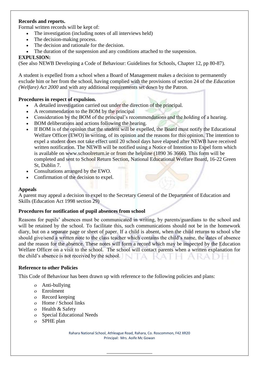## **Records and reports.**

Formal written records will be kept of:

- The investigation (including notes of all interviews held)
- The decision-making process.
- The decision and rationale for the decision.
- The duration of the suspension and any conditions attached to the suspension.

## **EXPULSION:**

(See also NEWB Developing a Code of Behaviour: Guidelines for Schools, Chapter 12, pp 80-87).

A student is expelled from a school when a Board of Management makes a decision to permanently exclude him or her from the school, having complied with the provisions of section 24 of the *Education (Welfare) Act 2000* and with any additional requirements set down by the Patron.

## **Procedures in respect of expulsion.**

- A detailed investigation carried out under the direction of the principal.
- A recommendation to the BOM by the principal
- Consideration by the BOM of the principal's recommendations and the holding of a hearing.
- BOM deliberations and actions following the hearing.
- If BOM is of the opinion that the student will be expelled, the Board must notify the Educational Welfare Officer (EWO) in writing, of its opinion and the reasons for this opinion. The intention to expel a student does not take effect until 20 school days have elapsed after NEWB have received written notification. The NEWB will be notified using a Notice of Intention to Expel form which is available on www.schoolreturn.ie or from the helpline (1890 36 3666). This form will be completed and sent to School Return Section, National Educational Welfare Board, 16-22 Green St, Dublin 7.
- Consultations arranged by the EWO.
- Confirmation of the decision to expel.

## **Appeals**

A parent may appeal a decision to expel to the Secretary General of the Department of Education and Skills (Education Act 1998 section 29)

## **Procedures for notification of pupil absences from school**

Reasons for pupils' absences must be communicated in writing, by parents/guardians to the school and will be retained by the school. To facilitate this, such communications should not be in the homework diary, but on a separate page or sheet of paper. If a child is absent, when the child returns to school s/he should give/send a written note to the class teacher which contains the child's name, the dates of absence and the reason for the absence. These notes will form a record which may be inspected by the Education Welfare Officer on a visit to the school. The school will contact parents when a written explanation for the child's absence is not received by the school.

## **Reference to other Policies**

This Code of Behaviour has been drawn up with reference to the following policies and plans:

- Anti-bullying
- Enrolment
- Record keeping
- Home / School links
- Health & Safety
- Special Educational Needs
- SPHE plan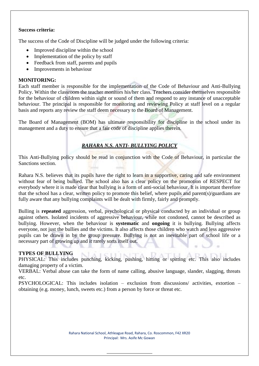#### **Success criteria:**

The success of the Code of Discipline will be judged under the following criteria:

- Improved discipline within the school
- Implementation of the policy by staff
- Feedback from staff, parents and pupils
- Improvements in behaviour

## **MONITORING:**

Each staff member is responsible for the implementation of the Code of Behaviour and Anti-Bullying Policy. Within the classroom the teacher monitors his/her class. Teachers consider themselves responsible for the behaviour of children within sight or sound of them and respond to any instance of unacceptable behaviour. The principal is responsible for monitoring and reviewing Policy at staff level on a regular basis and reports any review the staff deem necessary to the Board of Management.

The Board of Management (BOM) has ultimate responsibility for discipline in the school under its management and a duty to ensure that a fair code of discipline applies therein.

## *RAHARA N.S. ANTI- BULLYING POLICY*

This Anti-Bullying policy should be read in conjunction with the Code of Behaviour, in particular the Sanctions section.

Rahara N.S. believes that its pupils have the right to learn in a supportive, caring and safe environment without fear of being bullied. The school also has a clear policy on the promotion of RESPECT for everybody where it is made clear that bullying is a form of anti-social behaviour. It is important therefore that the school has a clear, written policy to promote this belief, where pupils and parent(s)/guardians are fully aware that any bullying complaints will be dealt with firmly, fairly and promptly.

Bulling is **repeated** aggression, verbal, psychological or physical conducted by an individual or group against others. Isolated incidents of aggressive behaviour, while not condoned, cannot be described as bullying. However, when the behaviour is **systematic** and **ongoing** it is bullying. Bullying affects everyone, not just the bullies and the victims. It also affects those children who watch and less aggressive pupils can be drawn in by the group pressure. Bullying is not an inevitable part of school life or a necessary part of growing up and it rarely sorts itself out.

## **TYPES OF BULLYING**

PHYSICAL: This includes punching, kicking, pushing, hitting or spitting etc. This also includes damaging property of a victim.

VERBAL: Verbal abuse can take the form of name calling, abusive language, slander, slagging, threats etc.

PSYCHOLOGICAL: This includes isolation – exclusion from discussions/ activities, extortion – obtaining (e.g. money, lunch, sweets etc.) from a person by force or threat etc.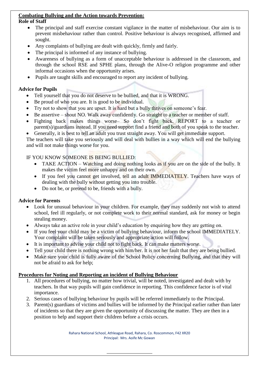# **Combating Bullying and the Action towards Prevention:**

## **Role of Staff**

- The principal and staff exercise constant vigilance in the matter of misbehaviour. Our aim is to prevent misbehaviour rather than control. Positive behaviour is always recognised, affirmed and sought.
- Any complaints of bullying are dealt with quickly, firmly and fairly.
- The principal is informed of any instance of bullying.
- Awareness of bullying as a form of unacceptable behaviour is addressed in the classroom, and through the school RSE and SPHE plans, through the Alive-O religion programme and other informal occasions when the opportunity arises.
- Pupils are taught skills and encouraged to report any incident of bullying.

# **Advice for Pupils**

- Tell yourself that you do not deserve to be bullied, and that it is WRONG.
- Be proud of who you are. It is good to be individual.
- Try not to show that you are upset. It is hard but a bully thrives on someone's fear.
- Be assertive shout NO. Walk away confidently. Go straight to a teacher or member of staff.
- Fighting back makes things worse– So don't fight back. REPORT to a teacher or parent(s)/guardians instead. If you need support find a friend and both of you speak to the teacher.
- Generally, it is best to tell an adult you trust straight away. You will get immediate support.

The teachers will take you seriously and will deal with bullies in a way which will end the bullying and will not make things worse for you.

# IF YOU KNOW SOMEONE IS BEING BULLIED:

- TAKE ACTION Watching and doing nothing looks as if you are on the side of the bully. It makes the victim feel more unhappy and on their own.
- If you feel you cannot get involved, tell an adult IMMEDIATELY. Teachers have ways of dealing with the bully without getting you into trouble.
- Do not be, or pretend to be, friends with a bully.

# **Advice for Parents**

- Look for unusual behaviour in your children. For example, they may suddenly not wish to attend school, feel ill regularly, or not complete work to their normal standard, ask for money or begin stealing money.
- Always take an active role in your child's education by enquiring how they are getting on.
- If you feel your child may be a victim of bullying behaviour, inform the school IMMEDIATELY. Your complaint will be taken seriously and appropriate action will follow.
- It is important to advise your child not to fight back. It can make matters worse.
- Tell your child there is nothing wrong with him/her. It is not her fault that they are being bullied.
- Make sure your child is fully aware of the School Policy concerning Bullying, and that they will not be afraid to ask for help;

# **Procedures for Noting and Reporting an incident of Bullying Behaviour**

- 1. All procedures of bullying, no matter how trivial, will be noted, investigated and dealt with by teachers. In that way pupils will gain confidence in reporting. This confidence factor is of vital importance.
- 2. Serious cases of bullying behaviour by pupils will be referred immediately to the Principal.
- 3. Parent(s) guardians of victims and bullies will be informed by the Principal earlier rather than later of incidents so that they are given the opportunity of discussing the matter. They are then in a position to help and support their children before a crisis occurs.